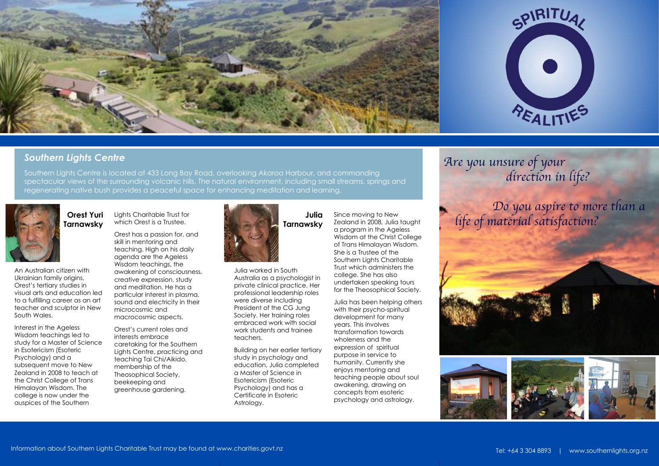



# *Southern Lights Centre*

Southern Lights Centre is located at 433 Long Bay Road, overlooking Akaroa Harbour, and commanding spectacular views of the surrounding volcanic hills. The natural environment, including small streams, springs and regenerating native bush provides a peaceful space for enhancing meditation and learning.



An Australian citizen with Ukrainian family origins, Orest's tertiary studies in visual arts and education led to a fulfilling career as an art teacher and sculptor in New South Wales.

Interest in the Ageless Wisdom teachings led to study for a Master of Science in Esotericism (Esoteric Psychology) and a subsequent move to New Zealand in 2008 to teach at the Christ College of Trans Himalayan Wisdom. The college is now under the auspices of the Southern

Lights Charitable Trust for which Orest is a Trustee.

> Orest has a passion for, and skill in mentoring and teaching. High on his daily agenda are the Ageless Wisdom teachings, the awakening of consciousness, creative expression, study and meditation. He has a particular interest in plasma, sound and electricity in their microcosmic and macrocosmic aspects.

> Orest's current roles and interests embrace caretaking for the Southern Lights Centre, practicing and teaching Tai Chi/Aikido, membership of the Theosophical Society, beekeeping and greenhouse gardening.



Julia worked in South Australia as a psychologist in private clinical practice. Her professional leadership roles were diverse including President of the CG Jung Society. Her training roles embraced work with social work students and trainee teachers.

**Julia**

Building on her earlier tertiary study in psychology and education, Julia completed a Master of Science in Esotericism (Esoteric Psychology) and has a Certificate in Esoteric Astrology.

Since moving to New Zealand in 2008, Julia taught a program in the Ageless Wisdom at the Christ College of Trans Himalayan Wisdom. She is a Trustee of the Southern Liahts Charitable Trust which administers the college. She has also undertaken speaking tours for the Theosophical Society.

Julia has been helping others with their psycho-spiritual development for many years. This involves transformation towards wholeness and the expression of spiritual purpose in service to humanity. Currently she enjoys mentoring and teaching people about soul awakening, drawing on concepts from esoteric psychology and astrology.

*Are you unsure of your direction in life?*

*Do you aspire to more than a life of material satisfaction?*